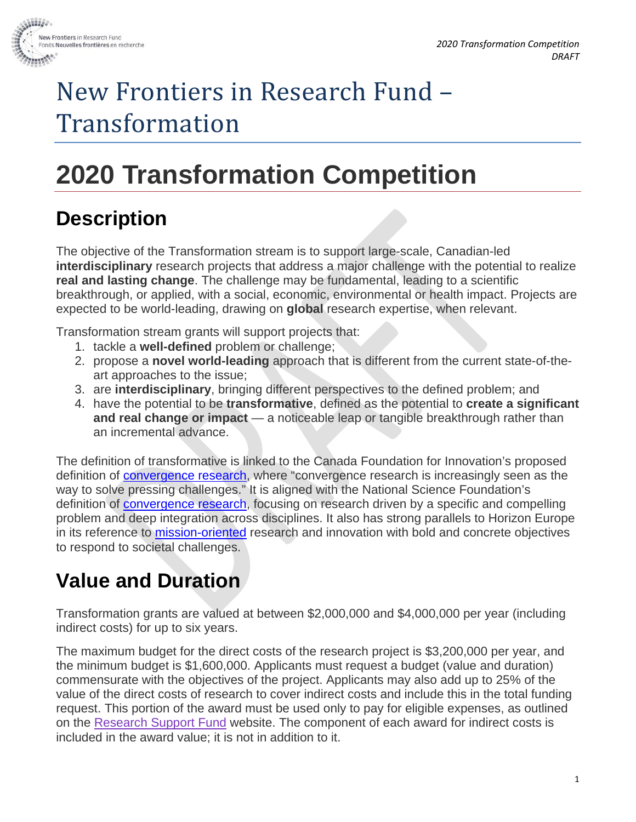

# New Frontiers in Research Fund – Transformation

# **2020 Transformation Competition**

## **Description**

The objective of the Transformation stream is to support large-scale, Canadian-led **interdisciplinary** research projects that address a major challenge with the potential to realize **real and lasting change**. The challenge may be fundamental, leading to a scientific breakthrough, or applied, with a social, economic, environmental or health impact. Projects are expected to be world-leading, drawing on **global** research expertise, when relevant.

Transformation stream grants will support projects that:

- 1. tackle a **well-defined** problem or challenge;
- 2. propose a **novel world-leading** approach that is different from the current state-of-theart approaches to the issue;
- 3. are **interdisciplinary**, bringing different perspectives to the defined problem; and
- 4. have the potential to be **transformative**, defined as the potential to **create a significant and real change or impact** — a noticeable leap or tangible breakthrough rather than an incremental advance.

The definition of transformative is linked to the Canada Foundation for Innovation's proposed definition of [convergence research,](https://www.google.ca/url?sa=t&rct=j&q=&esrc=s&source=web&cd=1&cad=rja&uact=8&ved=2ahUKEwi2lqS1jLLiAhWBnOAKHVTtArIQFjAAegQIAxAC&url=https%3A%2F%2Fwww.innovation.ca%2Fsites%2Fdefault%2Ffiles%2Fpdf%2Fdiscussionpaper_eng_finalb.pdf&usg=AOvVaw3DIF9WrMusUSKGQ1dbhu-a) where "convergence research is increasingly seen as the way to solve pressing challenges." It is aligned with the National Science Foundation's definition of **convergence research**, focusing on research driven by a specific and compelling problem and deep integration across disciplines. It also has strong parallels to Horizon Europe in its reference to [mission-oriented](https://ec.europa.eu/info/horizon-europe-next-research-and-innovation-framework-programme/mission-oriented-policy-horizon-europe_en) research and innovation with bold and concrete objectives to respond to societal challenges.

## **Value and Duration**

Transformation grants are valued at between \$2,000,000 and \$4,000,000 per year (including indirect costs) for up to six years.

The maximum budget for the direct costs of the research project is \$3,200,000 per year, and the minimum budget is \$1,600,000. Applicants must request a budget (value and duration) commensurate with the objectives of the project. Applicants may also add up to 25% of the value of the direct costs of research to cover indirect costs and include this in the total funding request. This portion of the award must be used only to pay for eligible expenses, as outlined on the [Research Support Fund](http://www.rsf-fsr.gc.ca/administer-administrer/expenditures-depenses-eng.aspx) website. The component of each award for indirect costs is included in the award value; it is not in addition to it.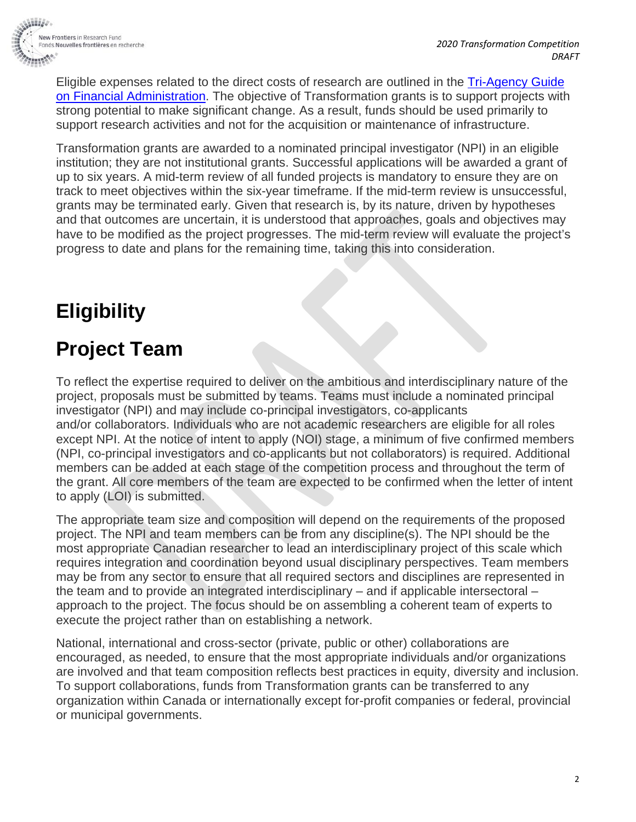

Eligible expenses related to the direct costs of research are outlined in the [Tri-Agency Guide](http://www.nserc-crsng.gc.ca/InterAgency-Interorganismes/TAFA-AFTO/index_eng.asp)  [on Financial Administration.](http://www.nserc-crsng.gc.ca/InterAgency-Interorganismes/TAFA-AFTO/index_eng.asp) The objective of Transformation grants is to support projects with strong potential to make significant change. As a result, funds should be used primarily to support research activities and not for the acquisition or maintenance of infrastructure.

Transformation grants are awarded to a nominated principal investigator (NPI) in an eligible institution; they are not institutional grants. Successful applications will be awarded a grant of up to six years. A mid-term review of all funded projects is mandatory to ensure they are on track to meet objectives within the six-year timeframe. If the mid-term review is unsuccessful, grants may be terminated early. Given that research is, by its nature, driven by hypotheses and that outcomes are uncertain, it is understood that approaches, goals and objectives may have to be modified as the project progresses. The mid-term review will evaluate the project's progress to date and plans for the remaining time, taking this into consideration.

## **Eligibility**

## **Project Team**

To reflect the expertise required to deliver on the ambitious and interdisciplinary nature of the project, proposals must be submitted by teams. Teams must include a nominated principal investigator (NPI) and may include co-principal investigators, co-applicants and/or collaborators. Individuals who are not academic researchers are eligible for all roles except NPI. At the notice of intent to apply (NOI) stage, a minimum of five confirmed members (NPI, co-principal investigators and co-applicants but not collaborators) is required. Additional members can be added at each stage of the competition process and throughout the term of the grant. All core members of the team are expected to be confirmed when the letter of intent to apply (LOI) is submitted.

The appropriate team size and composition will depend on the requirements of the proposed project. The NPI and team members can be from any discipline(s). The NPI should be the most appropriate Canadian researcher to lead an interdisciplinary project of this scale which requires integration and coordination beyond usual disciplinary perspectives. Team members may be from any sector to ensure that all required sectors and disciplines are represented in the team and to provide an integrated interdisciplinary – and if applicable intersectoral – approach to the project. The focus should be on assembling a coherent team of experts to execute the project rather than on establishing a network.

National, international and cross-sector (private, public or other) collaborations are encouraged, as needed, to ensure that the most appropriate individuals and/or organizations are involved and that team composition reflects best practices in equity, diversity and inclusion. To support collaborations, funds from Transformation grants can be transferred to any organization within Canada or internationally except for-profit companies or federal, provincial or municipal governments.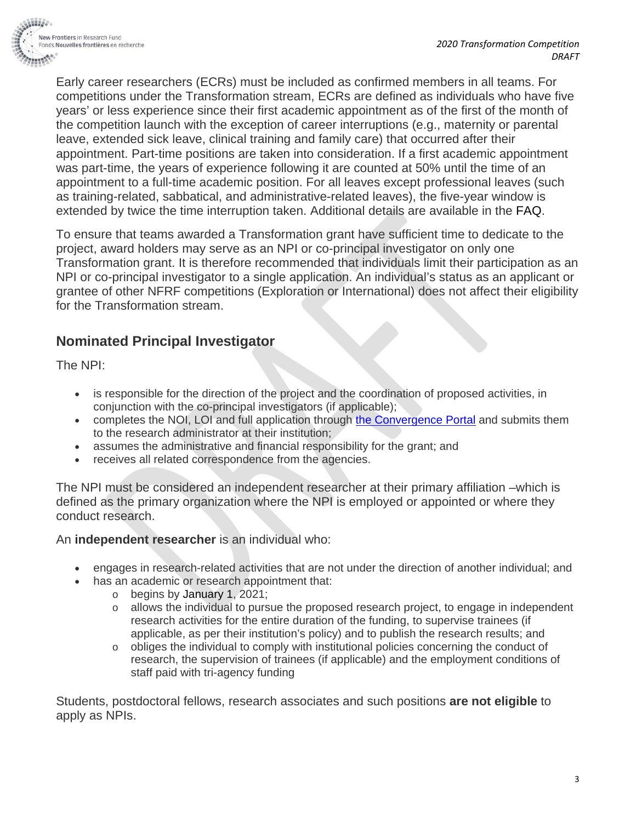

Early career researchers (ECRs) must be included as confirmed members in all teams. For competitions under the Transformation stream, ECRs are defined as individuals who have five years' or less experience since their first academic appointment as of the first of the month of the competition launch with the exception of career interruptions (e.g., maternity or parental leave, extended sick leave, clinical training and family care) that occurred after their appointment. Part-time positions are taken into consideration. If a first academic appointment was part-time, the years of experience following it are counted at 50% until the time of an appointment to a full-time academic position. For all leaves except professional leaves (such as training-related, sabbatical, and administrative-related leaves), the five-year window is extended by twice the time interruption taken. Additional details are available in the FAQ.

To ensure that teams awarded a Transformation grant have sufficient time to dedicate to the project, award holders may serve as an NPI or co-principal investigator on only one Transformation grant. It is therefore recommended that individuals limit their participation as an NPI or co-principal investigator to a single application. An individual's status as an applicant or grantee of other NFRF competitions (Exploration or International) does not affect their eligibility for the Transformation stream.

#### **Nominated Principal Investigator**

The NPI:

- is responsible for the direction of the project and the coordination of proposed activities, in conjunction with the co-principal investigators (if applicable);
- completes the NOI, LOI and full application through the [Convergence Portal](https://www.convergence.gc.ca/en/) and submits them to the research administrator at their institution;
- assumes the administrative and financial responsibility for the grant; and
- receives all related correspondence from the agencies.

The NPI must be considered an independent researcher at their primary affiliation –which is defined as the primary organization where the NPI is employed or appointed or where they conduct research.

An **independent researcher** is an individual who:

- engages in research-related activities that are not under the direction of another individual; and
	- has an academic or research appointment that:
		- o begins by January 1, 2021;
			- o allows the individual to pursue the proposed research project, to engage in independent research activities for the entire duration of the funding, to supervise trainees (if applicable, as per their institution's policy) and to publish the research results; and
			- $\circ$  obliges the individual to comply with institutional policies concerning the conduct of research, the supervision of trainees (if applicable) and the employment conditions of staff paid with tri-agency funding

Students, postdoctoral fellows, research associates and such positions **are not eligible** to apply as NPIs.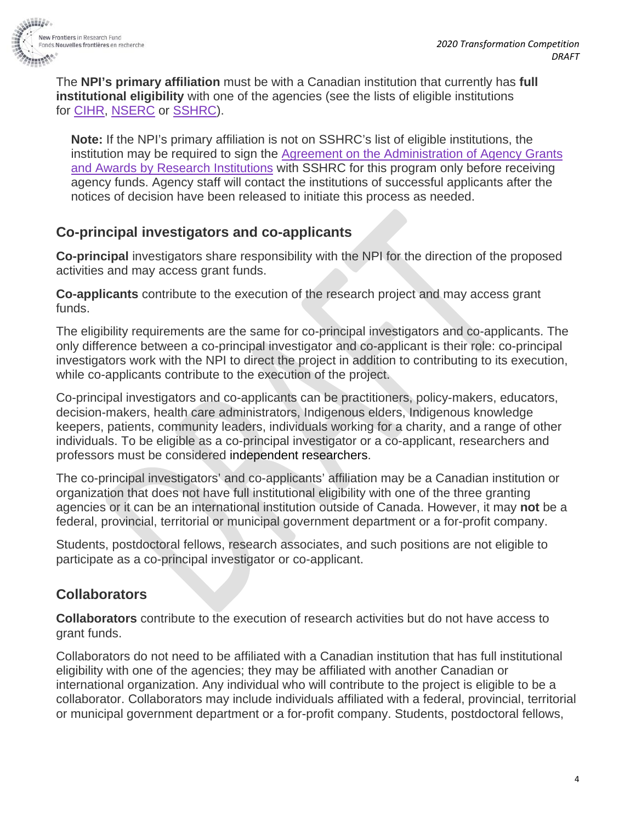

The **NPI's primary affiliation** must be with a Canadian institution that currently has **full institutional eligibility** with one of the agencies (see the lists of eligible institutions for [CIHR,](http://www.cihr-irsc.gc.ca/e/36374.html) [NSERC](http://www.nserc-crsng.gc.ca/NSERC-CRSNG/Eligibility-Admissibilite/ListEligibleInstitutions-ListEtablissementsAdmissible_eng.asp) or [SSHRC\)](http://www.sshrc-crsh.gc.ca/about-au_sujet/policies-politiques/statements-enonces/list_eligible_institutions-liste_etablissements-admissibles-eng.aspx).

**Note:** If the NPI's primary affiliation is not on SSHRC's list of eligible institutions, the institution may be required to sign the Agreement on the Administration of Agency Grants [and Awards by Research Institutions](http://www.science.gc.ca/eic/site/063.nsf/eng/h_56B87BE5.html?OpenDocument) with SSHRC for this program only before receiving agency funds. Agency staff will contact the institutions of successful applicants after the notices of decision have been released to initiate this process as needed.

#### **Co-principal investigators and co-applicants**

**Co-principal** investigators share responsibility with the NPI for the direction of the proposed activities and may access grant funds.

**Co-applicants** contribute to the execution of the research project and may access grant funds.

The eligibility requirements are the same for co-principal investigators and co-applicants. The only difference between a co-principal investigator and co-applicant is their role: co-principal investigators work with the NPI to direct the project in addition to contributing to its execution, while co-applicants contribute to the execution of the project.

Co-principal investigators and co-applicants can be practitioners, policy-makers, educators, decision-makers, health care administrators, Indigenous elders, Indigenous knowledge keepers, patients, community leaders, individuals working for a charity, and a range of other individuals. To be eligible as a co-principal investigator or a co-applicant, researchers and professors must be considered independent researchers.

The co-principal investigators' and co-applicants' affiliation may be a Canadian institution or organization that does not have full institutional eligibility with one of the three granting agencies or it can be an international institution outside of Canada. However, it may **not** be a federal, provincial, territorial or municipal government department or a for-profit company.

Students, postdoctoral fellows, research associates, and such positions are not eligible to participate as a co-principal investigator or co-applicant.

#### **Collaborators**

**Collaborators** contribute to the execution of research activities but do not have access to grant funds.

Collaborators do not need to be affiliated with a Canadian institution that has full institutional eligibility with one of the agencies; they may be affiliated with another Canadian or international organization. Any individual who will contribute to the project is eligible to be a collaborator. Collaborators may include individuals affiliated with a federal, provincial, territorial or municipal government department or a for-profit company. Students, postdoctoral fellows,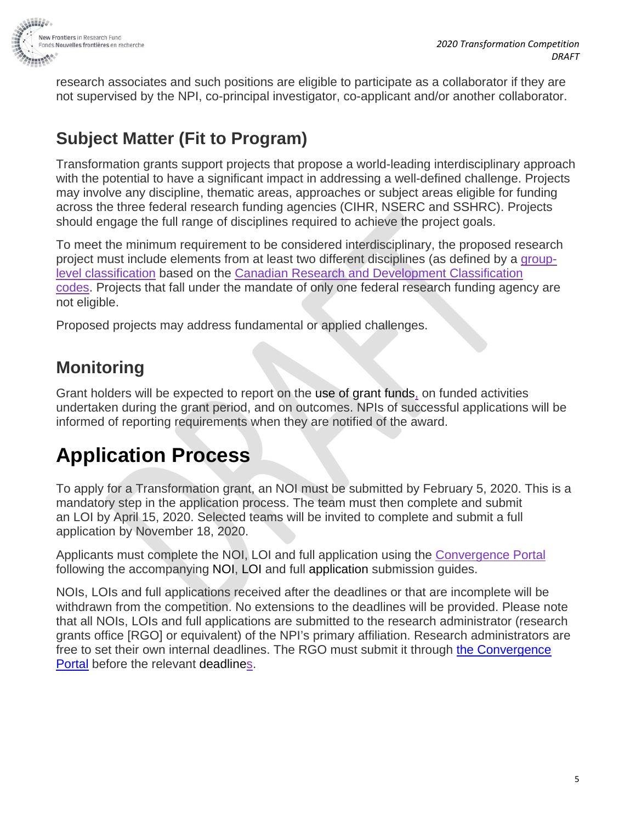

research associates and such positions are eligible to participate as a collaborator if they are not supervised by the NPI, co-principal investigator, co-applicant and/or another collaborator.

### **Subject Matter (Fit to Program)**

Transformation grants support projects that propose a world-leading interdisciplinary approach with the potential to have a significant impact in addressing a well-defined challenge. Projects may involve any discipline, thematic areas, approaches or subject areas eligible for funding across the three federal research funding agencies (CIHR, NSERC and SSHRC). Projects should engage the full range of disciplines required to achieve the project goals.

To meet the minimum requirement to be considered interdisciplinary, the proposed research project must include elements from at least two different disciplines (as defined by a [group](http://www.sshrc-crsh.gc.ca/funding-financement/nfrf-fnfr/CRDC_Web_EF.xlsx)[level classification](http://www.sshrc-crsh.gc.ca/funding-financement/nfrf-fnfr/CRDC_Web_EF.xlsx) based on the [Canadian Research and Development Classification](http://www.sshrc-crsh.gc.ca/funding-financement/nfrf-fnfr/crdc-ccrd-eng.aspx) codes. Projects that fall under the mandate of only one federal research funding agency are not eligible.

Proposed projects may address fundamental or applied challenges.

### **Monitoring**

Grant holders will be expected to report on the use of grant funds, on funded activities undertaken during the grant period, and on outcomes. NPIs of successful applications will be informed of reporting requirements when they are notified of the award.

## **Application Process**

To apply for a Transformation grant, an NOI must be submitted by February 5, 2020. This is a mandatory step in the application process. The team must then complete and submit an LOI by April 15, 2020. Selected teams will be invited to complete and submit a full application by November 18, 2020.

Applicants must complete the NOI, LOI and full application using the [Convergence Portal](https://www.convergence.gc.ca/) following the accompanying NOI, LOI and full application submission guides.

NOIs, LOIs and full applications received after the deadlines or that are incomplete will be withdrawn from the competition. No extensions to the deadlines will be provided. Please note that all NOIs, LOIs and full applications are submitted to the research administrator (research grants office [RGO] or equivalent) of the NPI's primary affiliation. Research administrators are free to set their own internal deadlines. The RGO must submit it through the [Convergence](https://www.convergence.gc.ca/en/) [Portal](https://www.convergence.gc.ca/en/) before the relevant deadlines.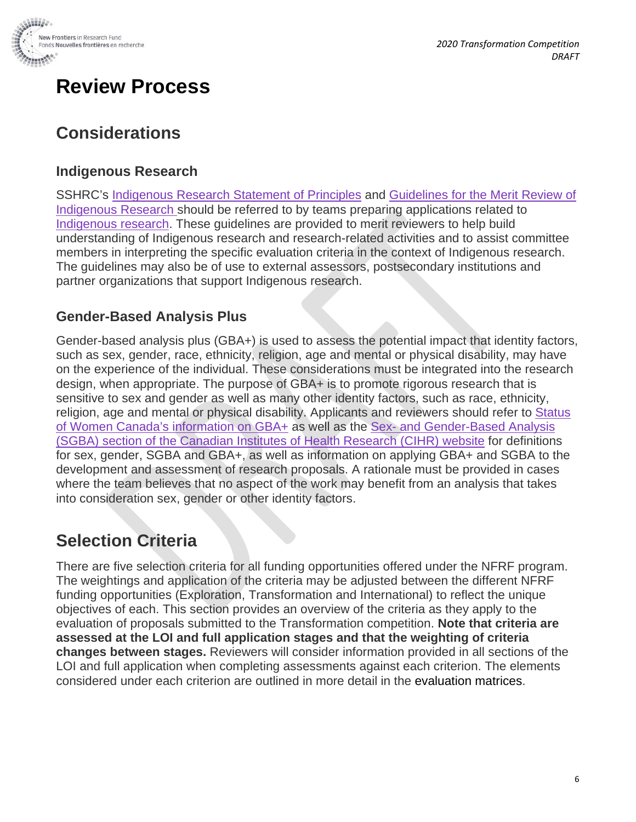

## **Review Process**

### **Considerations**

#### **Indigenous Research**

SSHRC's [Indigenous Research Statement of Principles](http://www.sshrc-crsh.gc.ca/about-au_sujet/policies-politiques/statements-enonces/indigenous_research-recherche_autochtone-eng.aspx) and [Guidelines for the Merit Review of](http://www.sshrc-crsh.gc.ca/funding-financement/merit_review-evaluation_du_merite/guidelines_research-lignes_directrices_recherche-eng.aspx)  [Indigenous Research](http://www.sshrc-crsh.gc.ca/funding-financement/merit_review-evaluation_du_merite/guidelines_research-lignes_directrices_recherche-eng.aspx) should be referred to by teams preparing applications related to [Indigenous research.](http://www.sshrc-crsh.gc.ca/funding-financement/programs-programmes/definitions-eng.aspx#a11) These guidelines are provided to merit reviewers to help build understanding of Indigenous research and research-related activities and to assist committee members in interpreting the specific evaluation criteria in the context of Indigenous research. The guidelines may also be of use to external assessors, postsecondary institutions and partner organizations that support Indigenous research.

#### **Gender-Based Analysis Plus**

Gender-based analysis plus (GBA+) is used to assess the potential impact that identity factors, such as sex, gender, race, ethnicity, religion, age and mental or physical disability, may have on the experience of the individual. These considerations must be integrated into the research design, when appropriate. The purpose of GBA+ is to promote rigorous research that is sensitive to sex and gender as well as many other identity factors, such as race, ethnicity, religion, age and mental or physical disability. Applicants and reviewers should refer to [Status](https://cfc-swc.gc.ca/gba-acs/index-en.html)  [of Women Canada's information on](https://cfc-swc.gc.ca/gba-acs/index-en.html) GBA+ as well as the Sex- [and Gender-Based Analysis](http://www.cihr-irsc.gc.ca/e/32019.html)  [\(SGBA\) section of the Canadian Institutes of Health Research \(CIHR\) website](http://www.cihr-irsc.gc.ca/e/32019.html) for definitions for sex, gender, SGBA and GBA+, as well as information on applying GBA+ and SGBA to the development and assessment of research proposals. A rationale must be provided in cases where the team believes that no aspect of the work may benefit from an analysis that takes into consideration sex, gender or other identity factors.

#### **Selection Criteria**

There are five selection criteria for all funding opportunities offered under the NFRF program. The weightings and application of the criteria may be adjusted between the different NFRF funding opportunities (Exploration, Transformation and International) to reflect the unique objectives of each. This section provides an overview of the criteria as they apply to the evaluation of proposals submitted to the Transformation competition. **Note that criteria are assessed at the LOI and full application stages and that the weighting of criteria changes between stages.** Reviewers will consider information provided in all sections of the LOI and full application when completing assessments against each criterion. The elements considered under each criterion are outlined in more detail in the evaluation matrices.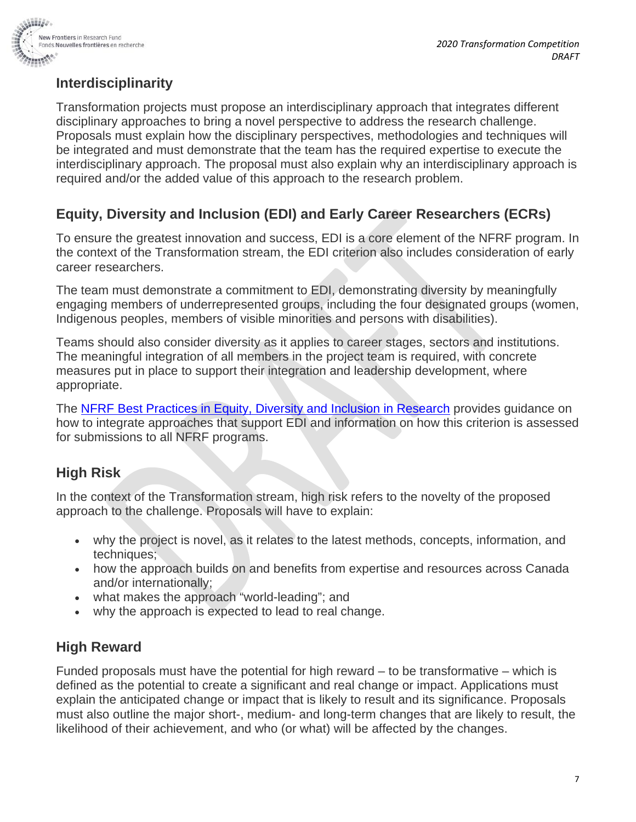

#### **Interdisciplinarity**

Transformation projects must propose an interdisciplinary approach that integrates different disciplinary approaches to bring a novel perspective to address the research challenge. Proposals must explain how the disciplinary perspectives, methodologies and techniques will be integrated and must demonstrate that the team has the required expertise to execute the interdisciplinary approach. The proposal must also explain why an interdisciplinary approach is required and/or the added value of this approach to the research problem.

#### **Equity, Diversity and Inclusion (EDI) and Early Career Researchers (ECRs)**

To ensure the greatest innovation and success, EDI is a core element of the NFRF program. In the context of the Transformation stream, the EDI criterion also includes consideration of early career researchers.

The team must demonstrate a commitment to EDI, demonstrating diversity by meaningfully engaging members of underrepresented groups, including the four designated groups (women, Indigenous peoples, members of visible minorities and persons with disabilities).

Teams should also consider diversity as it applies to career stages, sectors and institutions. The meaningful integration of all members in the project team is required, with concrete measures put in place to support their integration and leadership development, where appropriate.

The [NFRF Best Practices in Equity, Diversity and Inclusion in Research](http://www.sshrc-crsh.gc.ca/funding-financement/nfrf-fnfr/edi-eng.aspx) provides guidance on how to integrate approaches that support EDI and information on how this criterion is assessed for submissions to all NFRF programs.

#### **High Risk**

In the context of the Transformation stream, high risk refers to the novelty of the proposed approach to the challenge. Proposals will have to explain:

- why the project is novel, as it relates to the latest methods, concepts, information, and techniques;
- how the approach builds on and benefits from expertise and resources across Canada and/or internationally;
- what makes the approach "world-leading"; and
- why the approach is expected to lead to real change.

#### **High Reward**

Funded proposals must have the potential for high reward – to be transformative – which is defined as the potential to create a significant and real change or impact. Applications must explain the anticipated change or impact that is likely to result and its significance. Proposals must also outline the major short-, medium- and long-term changes that are likely to result, the likelihood of their achievement, and who (or what) will be affected by the changes.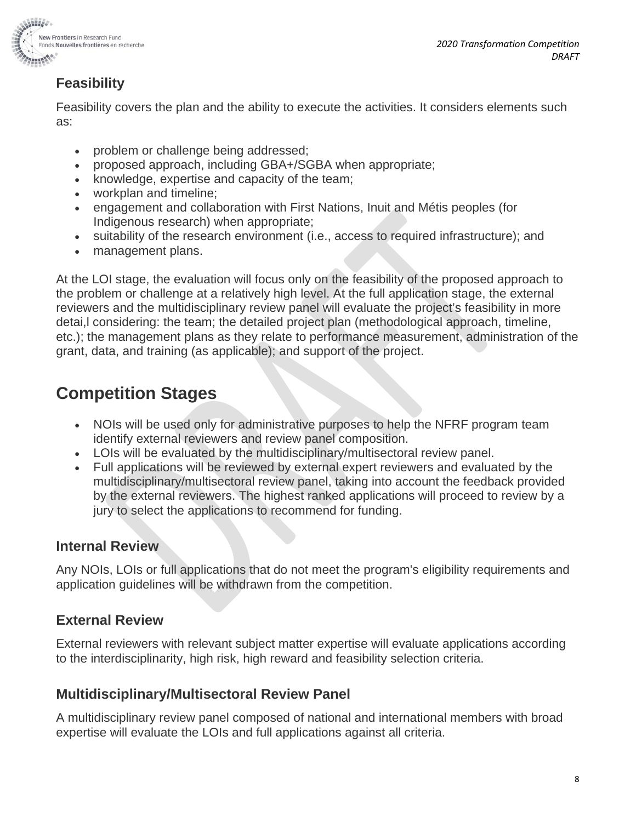

#### **Feasibility**

Feasibility covers the plan and the ability to execute the activities. It considers elements such as:

- problem or challenge being addressed;
- proposed approach, including GBA+/SGBA when appropriate;
- knowledge, expertise and capacity of the team;
- workplan and timeline;
- engagement and collaboration with First Nations, Inuit and Métis peoples (for Indigenous research) when appropriate;
- suitability of the research environment (i.e., access to required infrastructure); and
- management plans.

At the LOI stage, the evaluation will focus only on the feasibility of the proposed approach to the problem or challenge at a relatively high level. At the full application stage, the external reviewers and the multidisciplinary review panel will evaluate the project's feasibility in more detai,l considering: the team; the detailed project plan (methodological approach, timeline, etc.); the management plans as they relate to performance measurement, administration of the grant, data, and training (as applicable); and support of the project.

## **Competition Stages**

- NOIs will be used only for administrative purposes to help the NFRF program team identify external reviewers and review panel composition.
- LOIs will be evaluated by the multidisciplinary/multisectoral review panel.
- Full applications will be reviewed by external expert reviewers and evaluated by the multidisciplinary/multisectoral review panel, taking into account the feedback provided by the external reviewers. The highest ranked applications will proceed to review by a jury to select the applications to recommend for funding.

#### **Internal Review**

Any NOIs, LOIs or full applications that do not meet the program's eligibility requirements and application guidelines will be withdrawn from the competition.

#### **External Review**

External reviewers with relevant subject matter expertise will evaluate applications according to the interdisciplinarity, high risk, high reward and feasibility selection criteria.

#### **Multidisciplinary/Multisectoral Review Panel**

A multidisciplinary review panel composed of national and international members with broad expertise will evaluate the LOIs and full applications against all criteria.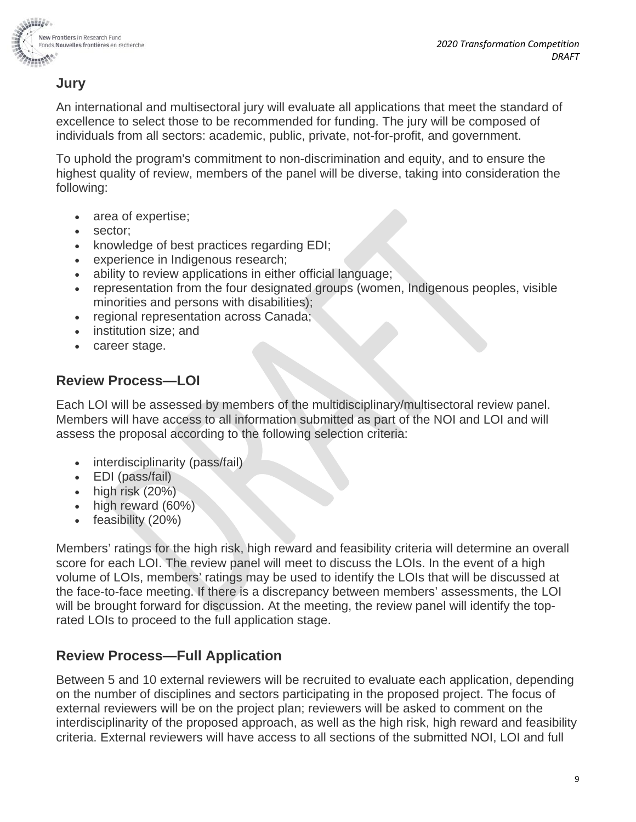

#### **Jury**

An international and multisectoral jury will evaluate all applications that meet the standard of excellence to select those to be recommended for funding. The jury will be composed of individuals from all sectors: academic, public, private, not-for-profit, and government.

To uphold the program's commitment to non-discrimination and equity, and to ensure the highest quality of review, members of the panel will be diverse, taking into consideration the following:

- area of expertise;
- sector;
- knowledge of best practices regarding EDI;
- experience in Indigenous research;
- ability to review applications in either official language;
- representation from the four designated groups (women, Indigenous peoples, visible minorities and persons with disabilities);
- regional representation across Canada;
- institution size; and
- career stage.

#### **Review Process—LOI**

Each LOI will be assessed by members of the multidisciplinary/multisectoral review panel. Members will have access to all information submitted as part of the NOI and LOI and will assess the proposal according to the following selection criteria:

- interdisciplinarity (pass/fail)
- EDI (pass/fail)
- $\bullet$  high risk  $(20\%)$
- high reward (60%)
- feasibility (20%)

Members' ratings for the high risk, high reward and feasibility criteria will determine an overall score for each LOI. The review panel will meet to discuss the LOIs. In the event of a high volume of LOIs, members' ratings may be used to identify the LOIs that will be discussed at the face-to-face meeting. If there is a discrepancy between members' assessments, the LOI will be brought forward for discussion. At the meeting, the review panel will identify the toprated LOIs to proceed to the full application stage.

#### **Review Process—Full Application**

Between 5 and 10 external reviewers will be recruited to evaluate each application, depending on the number of disciplines and sectors participating in the proposed project. The focus of external reviewers will be on the project plan; reviewers will be asked to comment on the interdisciplinarity of the proposed approach, as well as the high risk, high reward and feasibility criteria. External reviewers will have access to all sections of the submitted NOI, LOI and full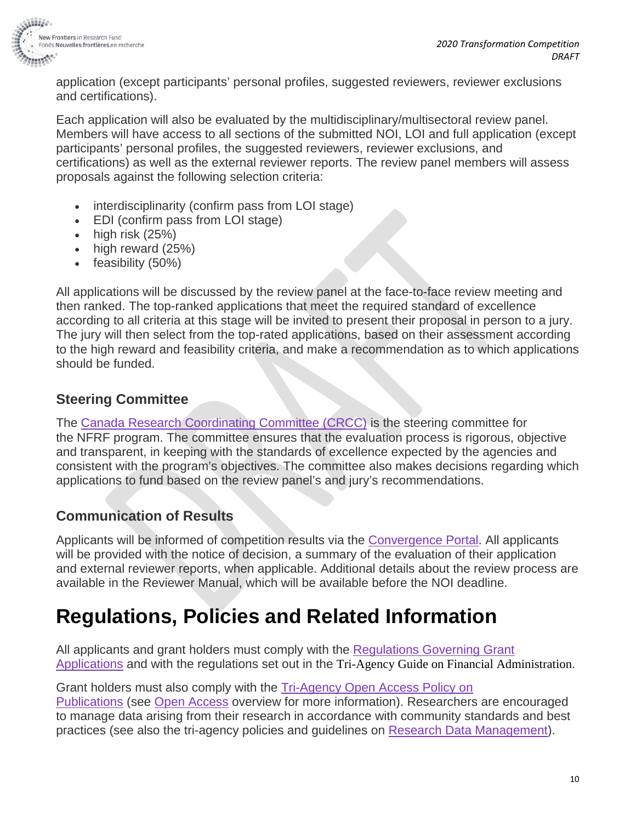

application (except participants' personal profiles, suggested reviewers, reviewer exclusions and certifications).

Each application will also be evaluated by the multidisciplinary/multisectoral review panel. Members will have access to all sections of the submitted NOI, LOI and full application (except participants' personal profiles, the suggested reviewers, reviewer exclusions, and certifications) as well as the external reviewer reports. The review panel members will assess proposals against the following selection criteria:

- interdisciplinarity (confirm pass from LOI stage)
- EDI (confirm pass from LOI stage)
- high risk (25%)
- high reward (25%)
- feasibility (50%)

All applications will be discussed by the review panel at the face-to-face review meeting and then ranked. The top-ranked applications that meet the required standard of excellence according to all criteria at this stage will be invited to present their proposal in person to a jury. The jury will then select from the top-rated applications, based on their assessment according to the high reward and feasibility criteria, and make a recommendation as to which applications should be funded.

#### **Steering Committee**

The [Canada Research Coordinating](http://www.ic.gc.ca/eic/site/127.nsf/eng/home) Committee (CRCC) is the steering committee for the NFRF program. The committee ensures that the evaluation process is rigorous, objective and transparent, in keeping with the standards of excellence expected by the agencies and consistent with the program's objectives. The committee also makes decisions regarding which applications to fund based on the review panel's and jury's recommendations.

#### **Communication of Results**

Applicants will be informed of competition results via the [Convergence Portal.](https://www.convergence.gc.ca/) All applicants will be provided with the notice of decision, a summary of the evaluation of their application and external reviewer reports, when applicable. Additional details about the review process are available in the Reviewer Manual, which will be available before the NOI deadline.

## **Regulations, Policies and Related Information**

All applicants and grant holders must comply with the Regulations Governing Grant [Applications](http://www.sshrc-crsh.gc.ca/funding-financement/policies-politiques/grant_regulations-reglements_subventionaires-eng.aspx) and with the regulations set out in the Tri-Agency Guide on Financial Administration.

Grant holders must also comply with the [Tri-Agency Open Access Policy on](http://www.science.gc.ca/default.asp?lang=En&n=F6765465-1)  [Publications](http://www.science.gc.ca/default.asp?lang=En&n=F6765465-1) (see [Open Access](http://www.science.gc.ca/eic/site/063.nsf/eng/h_75F21A63.html) overview for more information). Researchers are encouraged to manage data arising from their research in accordance with community standards and best practices (see also the tri-agency policies and guidelines on [Research Data Management\)](http://www.science.gc.ca/eic/site/063.nsf/eng/h_547652FB.html).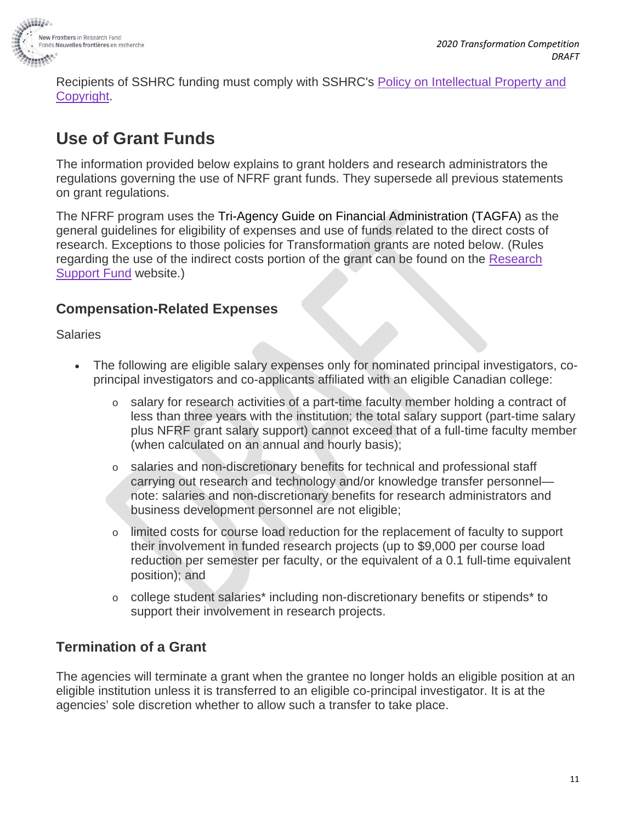

Recipients of SSHRC funding must comply with SSHRC's [Policy on Intellectual Property and](http://www.sshrc-crsh.gc.ca/funding-financement/policies-politiques/g_copyright-s_droits_auteur-eng.aspx)  [Copyright.](http://www.sshrc-crsh.gc.ca/funding-financement/policies-politiques/g_copyright-s_droits_auteur-eng.aspx)

### **Use of Grant Funds**

The information provided below explains to grant holders and research administrators the regulations governing the use of NFRF grant funds. They supersede all previous statements on grant regulations.

The NFRF program uses the Tri-Agency Guide on Financial Administration (TAGFA) as the general guidelines for eligibility of expenses and use of funds related to the direct costs of research. Exceptions to those policies for Transformation grants are noted below. (Rules regarding the use of the indirect costs portion of the grant can be found on the [Research](http://www.rsf-fsr.gc.ca/administer-administrer/expenditures-depenses-eng.aspx)  [Support Fund](http://www.rsf-fsr.gc.ca/administer-administrer/expenditures-depenses-eng.aspx) website.)

#### **Compensation-Related Expenses**

Salaries

- The following are eligible salary expenses only for nominated principal investigators, coprincipal investigators and co-applicants affiliated with an eligible Canadian college:
	- o salary for research activities of a part-time faculty member holding a contract of less than three years with the institution; the total salary support (part-time salary plus NFRF grant salary support) cannot exceed that of a full-time faculty member (when calculated on an annual and hourly basis);
	- o salaries and non-discretionary benefits for technical and professional staff carrying out research and technology and/or knowledge transfer personnel note: salaries and non-discretionary benefits for research administrators and business development personnel are not eligible;
	- o limited costs for course load reduction for the replacement of faculty to support their involvement in funded research projects (up to \$9,000 per course load reduction per semester per faculty, or the equivalent of a 0.1 full-time equivalent position); and
	- $\circ$  college student salarie[s\\*](http://www.nserc-crsng.gc.ca/Institutions-Etablissements/CCIGuide-ICCGuide/UseofFunds-UtilisationdesSubs_eng.asp#aNote1) including non-discretionary benefits or stipends\* to support their involvement in research projects.

#### **Termination of a Grant**

The agencies will terminate a grant when the grantee no longer holds an eligible position at an eligible institution unless it is transferred to an eligible co-principal investigator. It is at the agencies' sole discretion whether to allow such a transfer to take place.